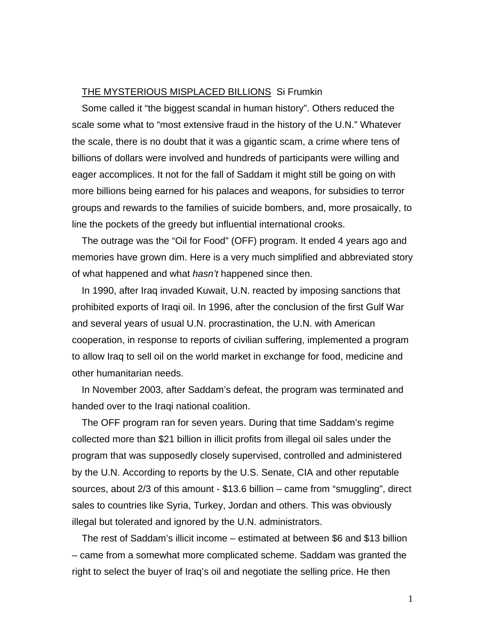## THE MYSTERIOUS MISPLACED BILLIONS Si Frumkin

Some called it "the biggest scandal in human history". Others reduced the scale some what to "most extensive fraud in the history of the U.N." Whatever the scale, there is no doubt that it was a gigantic scam, a crime where tens of billions of dollars were involved and hundreds of participants were willing and eager accomplices. It not for the fall of Saddam it might still be going on with more billions being earned for his palaces and weapons, for subsidies to terror groups and rewards to the families of suicide bombers, and, more prosaically, to line the pockets of the greedy but influential international crooks.

The outrage was the "Oil for Food" (OFF) program. It ended 4 years ago and memories have grown dim. Here is a very much simplified and abbreviated story of what happened and what *hasn't* happened since then.

In 1990, after Iraq invaded Kuwait, U.N. reacted by imposing sanctions that prohibited exports of Iraqi oil. In 1996, after the conclusion of the first Gulf War and several years of usual U.N. procrastination, the U.N. with American cooperation, in response to reports of civilian suffering, implemented a program to allow Iraq to sell oil on the world market in exchange for food, medicine and other humanitarian needs.

In November 2003, after Saddam's defeat, the program was terminated and handed over to the Iraqi national coalition.

The OFF program ran for seven years. During that time Saddam's regime collected more than \$21 billion in illicit profits from illegal oil sales under the program that was supposedly closely supervised, controlled and administered by the U.N. According to reports by the U.S. Senate, CIA and other reputable sources, about 2/3 of this amount - \$13.6 billion – came from "smuggling", direct sales to countries like Syria, Turkey, Jordan and others. This was obviously illegal but tolerated and ignored by the U.N. administrators.

The rest of Saddam's illicit income – estimated at between \$6 and \$13 billion – came from a somewhat more complicated scheme. Saddam was granted the right to select the buyer of Iraq's oil and negotiate the selling price. He then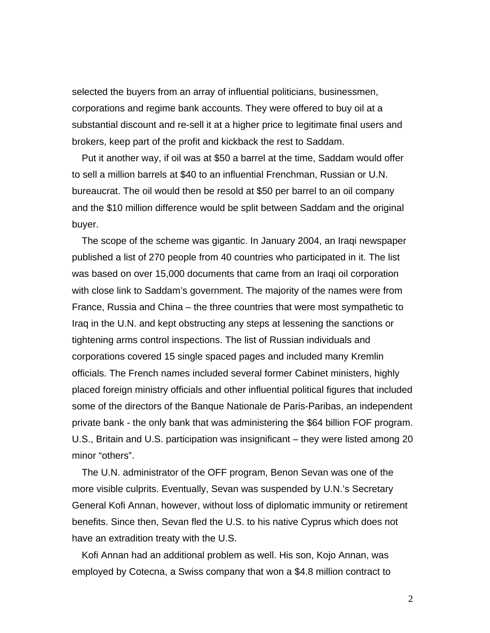selected the buyers from an array of influential politicians, businessmen, corporations and regime bank accounts. They were offered to buy oil at a substantial discount and re-sell it at a higher price to legitimate final users and brokers, keep part of the profit and kickback the rest to Saddam.

Put it another way, if oil was at \$50 a barrel at the time, Saddam would offer to sell a million barrels at \$40 to an influential Frenchman, Russian or U.N. bureaucrat. The oil would then be resold at \$50 per barrel to an oil company and the \$10 million difference would be split between Saddam and the original buyer.

The scope of the scheme was gigantic. In January 2004, an Iraqi newspaper published a list of 270 people from 40 countries who participated in it. The list was based on over 15,000 documents that came from an Iraqi oil corporation with close link to Saddam's government. The majority of the names were from France, Russia and China – the three countries that were most sympathetic to Iraq in the U.N. and kept obstructing any steps at lessening the sanctions or tightening arms control inspections. The list of Russian individuals and corporations covered 15 single spaced pages and included many Kremlin officials. The French names included several former Cabinet ministers, highly placed foreign ministry officials and other influential political figures that included some of the directors of the Banque Nationale de Paris-Paribas, an independent private bank - the only bank that was administering the \$64 billion FOF program. U.S., Britain and U.S. participation was insignificant – they were listed among 20 minor "others".

The U.N. administrator of the OFF program, Benon Sevan was one of the more visible culprits. Eventually, Sevan was suspended by U.N.'s Secretary General Kofi Annan, however, without loss of diplomatic immunity or retirement benefits. Since then, Sevan fled the U.S. to his native Cyprus which does not have an extradition treaty with the U.S.

Kofi Annan had an additional problem as well. His son, Kojo Annan, was employed by Cotecna, a Swiss company that won a \$4.8 million contract to